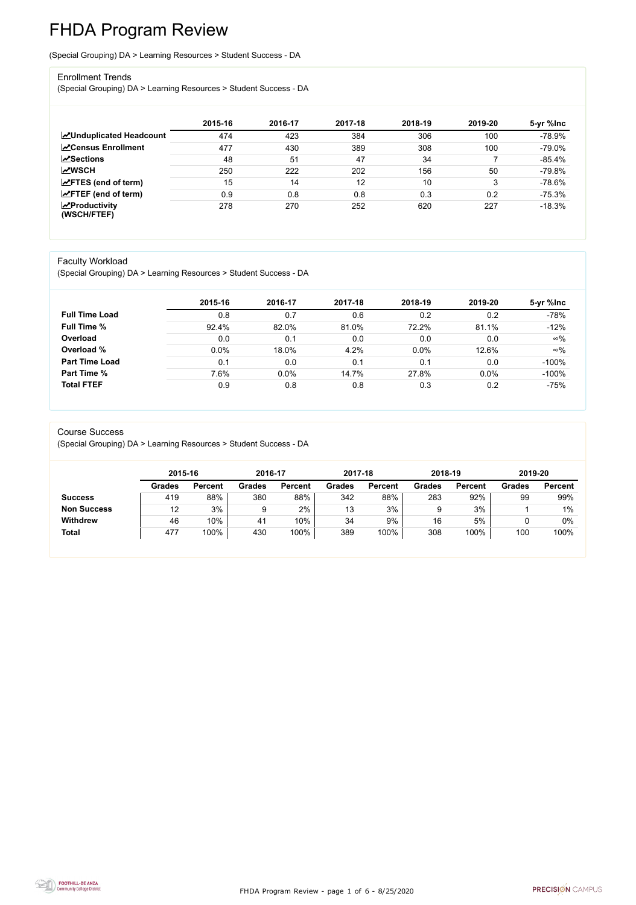FHDA Program Review - page 1 of 6 - 8/25/2020



# FHDA Program Review

(Special Grouping) DA > Learning Resources > Student Success - DA

#### Enrollment Trends

(Special Grouping) DA > Learning Resources > Student Success - DA

|                                                  | 2015-16 | 2016-17 | 2017-18 | 2018-19 | 2019-20 | 5-yr %lnc |
|--------------------------------------------------|---------|---------|---------|---------|---------|-----------|
| <b>ZUnduplicated Headcount</b>                   | 474     | 423     | 384     | 306     | 100     | $-78.9%$  |
| <b>ZCensus Enrollment</b>                        | 477     | 430     | 389     | 308     | 100     | $-79.0\%$ |
| <b>∠ Sections</b>                                | 48      | 51      | 47      | 34      |         | $-85.4%$  |
| <b>MWSCH</b>                                     | 250     | 222     | 202     | 156     | 50      | $-79.8%$  |
| $\angle$ FTES (end of term)                      | 15      | 14      | 12      | 10      | 2       | $-78.6%$  |
| $\angle$ FTEF (end of term)                      | 0.9     | 0.8     | 0.8     | 0.3     | 0.2     | $-75.3%$  |
| $\sqrt{\frac{1}{2}}$ Productivity<br>(WSCH/FTEF) | 278     | 270     | 252     | 620     | 227     | $-18.3%$  |

#### Faculty Workload

(Special Grouping) DA > Learning Resources > Student Success - DA

|                       | 2015-16 | 2016-17 | 2017-18 | 2018-19 | 2019-20 | 5-yr %lnc  |
|-----------------------|---------|---------|---------|---------|---------|------------|
| <b>Full Time Load</b> | 0.8     | 0.7     | 0.6     | 0.2     | 0.2     | $-78%$     |
| <b>Full Time %</b>    | 92.4%   | 82.0%   | 81.0%   | 72.2%   | 81.1%   | $-12%$     |
| Overload              | 0.0     | 0.1     | 0.0     | 0.0     | 0.0     | $\infty\%$ |
| Overload %            | 0.0%    | 18.0%   | 4.2%    | 0.0%    | 12.6%   | $\infty\%$ |
| <b>Part Time Load</b> | 0.1     | 0.0     | 0.1     | 0.1     | 0.0     | $-100%$    |
| <b>Part Time %</b>    | 7.6%    | 0.0%    | 14.7%   | 27.8%   | 0.0%    | $-100%$    |
| <b>Total FTEF</b>     | 0.9     | 0.8     | 0.8     | 0.3     | 0.2     | $-75%$     |

#### Course Success

(Special Grouping) DA > Learning Resources > Student Success - DA

|                    |               | 2015-16        |               | 2016-17        | 2017-18       |                | 2018-19       |                | 2019-20       |                |
|--------------------|---------------|----------------|---------------|----------------|---------------|----------------|---------------|----------------|---------------|----------------|
|                    | <b>Grades</b> | <b>Percent</b> | <b>Grades</b> | <b>Percent</b> | <b>Grades</b> | <b>Percent</b> | <b>Grades</b> | <b>Percent</b> | <b>Grades</b> | <b>Percent</b> |
| <b>Success</b>     | 419           | 88%            | 380           | 88%            | 342           | 88%            | 283           | 92%            | 99            | 99%            |
| <b>Non Success</b> | 12            | 3%             |               | $2\%$          | 13            | 3%             |               | 3%             |               | $1\%$          |
| <b>Withdrew</b>    | 46            | 10%            | 41            | 10%            | 34            | 9%             | 16            | 5%             |               | $0\%$          |
| <b>Total</b>       | 477           | 100%           | 430           | 100%           | 389           | 100%           | 308           | 100%           | 100           | 100%           |

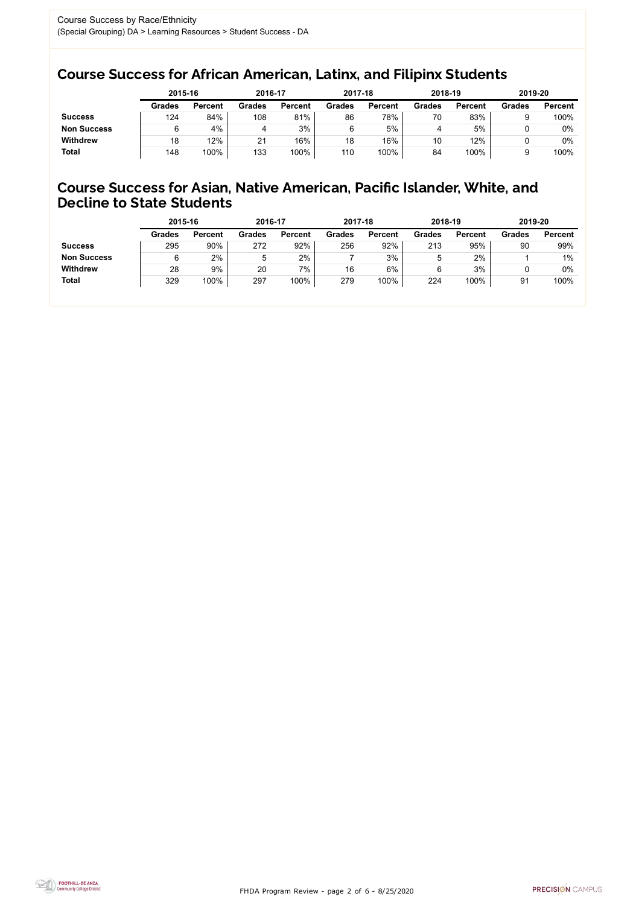FHDA Program Review - page 2 of 6 - 8/25/2020



## Course Success for African American, Latinx, and Filipinx Students

## Course Success for Asian, Native American, Pacific Islander, White, and Decline to State Students

|                    |               | 2015-16        |               | 2016-17        |               | 2017-18        | 2018-19       |                | 2019-20       |                |
|--------------------|---------------|----------------|---------------|----------------|---------------|----------------|---------------|----------------|---------------|----------------|
|                    | <b>Grades</b> | <b>Percent</b> | <b>Grades</b> | <b>Percent</b> | <b>Grades</b> | <b>Percent</b> | <b>Grades</b> | <b>Percent</b> | <b>Grades</b> | <b>Percent</b> |
| <b>Success</b>     | 124           | 84%            | 108           | 81%            | 86            | 78%            | 70            | 83%            |               | 100%           |
| <b>Non Success</b> |               | 4%             | 4             | 3%             |               | 5%             | 4             | 5%             |               | 0%             |
| <b>Withdrew</b>    | 18            | 12%            | 21            | 16%            | 18            | 16%            | 10            | 12%            |               | 0%             |
| <b>Total</b>       | 148           | 100%           | 133           | 100%           | 110           | 100%           | 84            | 100%           |               | 100%           |

|                    | 2015-16       |                | 2016-17       |                | 2017-18       |                | 2018-19       |                | 2019-20       |                |
|--------------------|---------------|----------------|---------------|----------------|---------------|----------------|---------------|----------------|---------------|----------------|
|                    | <b>Grades</b> | <b>Percent</b> | <b>Grades</b> | <b>Percent</b> | <b>Grades</b> | <b>Percent</b> | <b>Grades</b> | <b>Percent</b> | <b>Grades</b> | <b>Percent</b> |
| <b>Success</b>     | 295           | 90%            | 272           | 92%            | 256           | 92%            | 213           | 95%            | 90            | 99%            |
| <b>Non Success</b> |               | 2%             | b             | 2%             |               | 3%             | 5             | 2%             |               | $1\%$          |
| <b>Withdrew</b>    | 28            | 9%             | 20            | $7\%$          | 16            | 6%             | 6             | 3%             |               | 0%             |
| <b>Total</b>       | 329           | 100%           | 297           | 100%           | 279           | 100%           | 224           | 100%           | 91            | 100%           |
|                    |               |                |               |                |               |                |               |                |               |                |

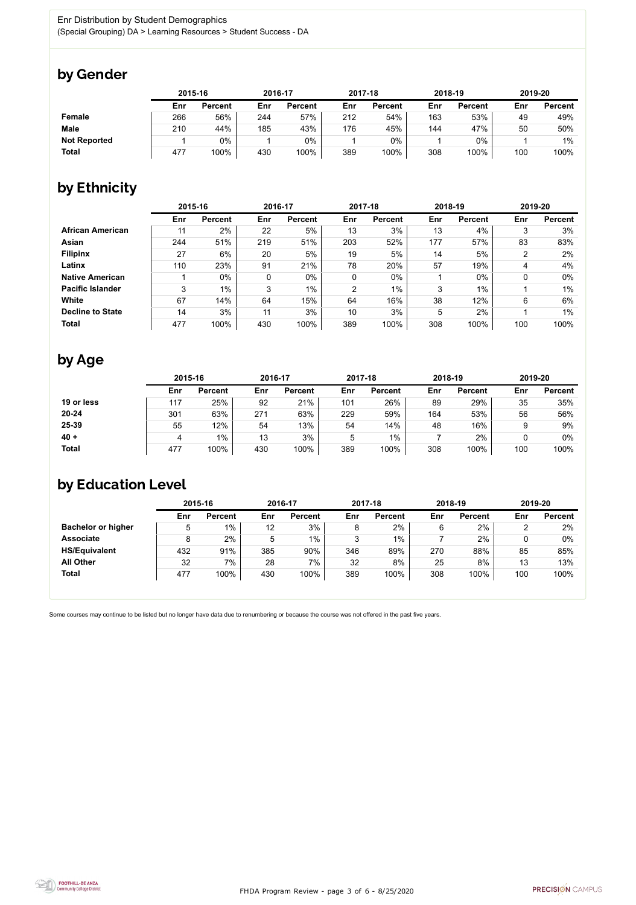

Some courses may continue to be listed but no longer have data due to renumbering or because the course was not offered in the past five years.



## by Gender

|                     | 2015-16 |                |     | 2016-17        |     | 2017-18        | 2018-19 |                | 2019-20 |                |
|---------------------|---------|----------------|-----|----------------|-----|----------------|---------|----------------|---------|----------------|
|                     | Enr     | <b>Percent</b> | Enr | <b>Percent</b> | Enr | <b>Percent</b> | Enr     | <b>Percent</b> | Enr     | <b>Percent</b> |
| Female              | 266     | 56%            | 244 | 57%            | 212 | 54%            | 163     | 53%            | 49      | 49%            |
| <b>Male</b>         | 210     | 44%            | 185 | 43%            | 176 | 45%            | 144     | 47%            | 50      | 50%            |
| <b>Not Reported</b> |         | 0%             |     | 0%             |     | 0%             |         | $0\%$          |         | $1\%$          |
| <b>Total</b>        | 477     | 100%           | 430 | 100%           | 389 | 100%           | 308     | 100%           | 100     | 100%           |

## by Ethnicity

|                         | 2015-16 |                |     | 2016-17        |                | 2017-18        |     | 2018-19        | 2019-20 |                |
|-------------------------|---------|----------------|-----|----------------|----------------|----------------|-----|----------------|---------|----------------|
|                         | Enr     | <b>Percent</b> | Enr | <b>Percent</b> | Enr            | <b>Percent</b> | Enr | <b>Percent</b> | Enr     | <b>Percent</b> |
| <b>African American</b> | 11      | 2%             | 22  | 5%             | 13             | 3%             | 13  | 4%             | 3       | 3%             |
| <b>Asian</b>            | 244     | 51%            | 219 | 51%            | 203            | 52%            | 177 | 57%            | 83      | 83%            |
| <b>Filipinx</b>         | 27      | 6%             | 20  | 5%             | 19             | 5%             | 14  | 5%             | າ       | 2%             |
| Latinx                  | 110     | 23%            | 91  | 21%            | 78             | 20%            | 57  | 19%            | 4       | 4%             |
| <b>Native American</b>  |         | $0\%$          | 0   | $0\%$          | $\mathbf 0$    | $0\%$          |     | $0\%$          | 0       | $0\%$          |
| <b>Pacific Islander</b> | 3       | $1\%$          | 3   | $1\%$          | $\overline{2}$ | $1\%$          | 3   | $1\%$          |         | $1\%$          |
| White                   | 67      | 14%            | 64  | 15%            | 64             | 16%            | 38  | 12%            | 6       | $6\%$          |
| <b>Decline to State</b> | 14      | 3%             | 11  | 3%             | 10             | 3%             | 5   | 2%             |         | $1\%$          |
| <b>Total</b>            | 477     | 100%           | 430 | 100%           | 389            | 100%           | 308 | 100%           | 100     | 100%           |

# by Age

|              | 2015-16 |                |     | 2016-17        |     | 2017-18        |     | 2018-19        | 2019-20 |                |
|--------------|---------|----------------|-----|----------------|-----|----------------|-----|----------------|---------|----------------|
|              | Enr     | <b>Percent</b> | Enr | <b>Percent</b> | Enr | <b>Percent</b> | Enr | <b>Percent</b> | Enr     | <b>Percent</b> |
| 19 or less   | 117     | 25%            | 92  | 21%            | 101 | 26%            | 89  | 29%            | 35      | 35%            |
| $20 - 24$    | 301     | 63%            | 271 | 63%            | 229 | 59%            | 164 | 53%            | 56      | 56%            |
| 25-39        | 55      | 12%            | 54  | 13%            | 54  | 14%            | 48  | 16%            |         | 9%             |
| $40 +$       | 4       | $1\%$          | 13  | 3%             | ხ   | $1\%$          |     | 2%             |         | 0%             |
| <b>Total</b> | 477     | 100%           | 430 | 100%           | 389 | 100%           | 308 | 100%           | 100     | 100%           |

# by Education Level

|                           | 2015-16 |                |     | 2016-17        |     | 2017-18        |     | 2018-19        | 2019-20 |                |
|---------------------------|---------|----------------|-----|----------------|-----|----------------|-----|----------------|---------|----------------|
|                           | Enr     | <b>Percent</b> | Enr | <b>Percent</b> | Enr | <b>Percent</b> | Enr | <b>Percent</b> | Enr     | <b>Percent</b> |
| <b>Bachelor or higher</b> | 5       | $1\%$          | 12  | 3%             | 8   | 2%             |     | 2%             |         | 2%             |
| <b>Associate</b>          | 8       | 2%             | 5   | $1\%$          | າ   | $1\%$          |     | 2%             |         | $0\%$          |
| <b>HS/Equivalent</b>      | 432     | 91%            | 385 | 90%            | 346 | 89%            | 270 | 88%            | 85      | 85%            |
| <b>All Other</b>          | 32      | 7%             | 28  | 7%             | 32  | 8%             | 25  | 8%             | 13      | 13%            |
| <b>Total</b>              | 477     | 100%           | 430 | 100%           | 389 | 100%           | 308 | 100%           | 100     | 100%           |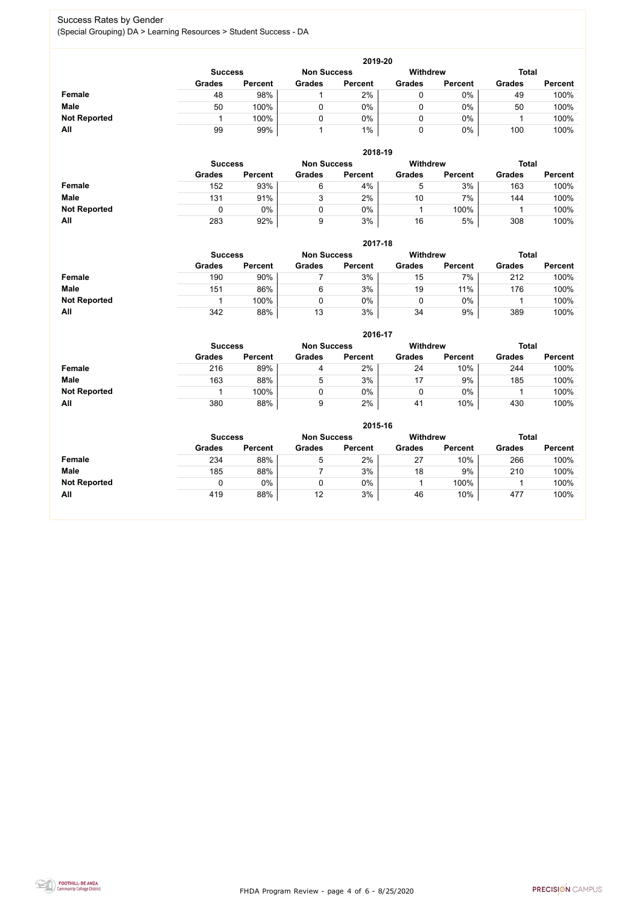FHDA Program Review - page 4 of 6 - 8/25/2020



## Success Rates by Gender (Special Grouping) DA > Learning Resources > Student Success - DA

|                     | 2019-20        |                |                 |                |               |                |               |                |  |  |  |  |  |
|---------------------|----------------|----------------|-----------------|----------------|---------------|----------------|---------------|----------------|--|--|--|--|--|
|                     | <b>Success</b> |                | <b>Withdrew</b> | <b>Total</b>   |               |                |               |                |  |  |  |  |  |
|                     | <b>Grades</b>  | <b>Percent</b> | <b>Grades</b>   | <b>Percent</b> | <b>Grades</b> | <b>Percent</b> | <b>Grades</b> | <b>Percent</b> |  |  |  |  |  |
| <b>Female</b>       | 48             | 98%            |                 | 2%             |               | $0\%$          | 49            | 100%           |  |  |  |  |  |
| <b>Male</b>         | 50             | 100%           |                 | $0\%$          |               | $0\%$          | 50            | 100%           |  |  |  |  |  |
| <b>Not Reported</b> |                | 100%           |                 | 0%             |               | $0\%$          |               | 100%           |  |  |  |  |  |
| All                 | 99             | 99%            |                 | $1\%$          |               | $0\%$          | 100           | 100%           |  |  |  |  |  |

|                     |               | 2018-19                              |               |                |               |                 |               |                |  |  |  |  |  |  |
|---------------------|---------------|--------------------------------------|---------------|----------------|---------------|-----------------|---------------|----------------|--|--|--|--|--|--|
|                     |               | <b>Non Success</b><br><b>Success</b> |               |                |               | <b>Withdrew</b> | <b>Total</b>  |                |  |  |  |  |  |  |
|                     | <b>Grades</b> | <b>Percent</b>                       | <b>Grades</b> | <b>Percent</b> | <b>Grades</b> | <b>Percent</b>  | <b>Grades</b> | <b>Percent</b> |  |  |  |  |  |  |
| <b>Female</b>       | 152           | 93%                                  | 6             | 4%             | $\mathbf b$   | 3%              | 163           | 100%           |  |  |  |  |  |  |
| <b>Male</b>         | 131           | 91%                                  | ົ<br>J        | 2%             | 10            | 7%              | 144           | 100%           |  |  |  |  |  |  |
| <b>Not Reported</b> |               | $0\%$                                |               | 0%             |               | 100%            |               | 100%           |  |  |  |  |  |  |
| All                 | 283           | 92%                                  | 9             | 3%             | 16            | 5%              | 308           | 100%           |  |  |  |  |  |  |

|                     |               | 2017-18                                                                 |               |                |               |                |               |                |  |  |  |  |  |  |
|---------------------|---------------|-------------------------------------------------------------------------|---------------|----------------|---------------|----------------|---------------|----------------|--|--|--|--|--|--|
|                     |               | <b>Withdrew</b><br><b>Total</b><br><b>Non Success</b><br><b>Success</b> |               |                |               |                |               |                |  |  |  |  |  |  |
|                     | <b>Grades</b> | <b>Percent</b>                                                          | <b>Grades</b> | <b>Percent</b> | <b>Grades</b> | <b>Percent</b> | <b>Grades</b> | <b>Percent</b> |  |  |  |  |  |  |
| <b>Female</b>       | 190           | 90%                                                                     |               | 3%             | 15            | 7%             | 212           | 100%           |  |  |  |  |  |  |
| <b>Male</b>         | 151           | 86%                                                                     | 6             | 3%             | 19            | 11%            | 176           | 100%           |  |  |  |  |  |  |
| <b>Not Reported</b> |               | 100%                                                                    | 0             | 0%             |               | $0\%$          |               | 100%           |  |  |  |  |  |  |
| All                 | 342           | 88%                                                                     | 13            | 3%             | 34            | 9%             | 389           | 100%           |  |  |  |  |  |  |

|                     |               | 2016-17                                                                 |               |                |               |                |               |                |  |  |
|---------------------|---------------|-------------------------------------------------------------------------|---------------|----------------|---------------|----------------|---------------|----------------|--|--|
|                     |               | <b>Withdrew</b><br><b>Total</b><br><b>Non Success</b><br><b>Success</b> |               |                |               |                |               |                |  |  |
|                     | <b>Grades</b> | <b>Percent</b>                                                          | <b>Grades</b> | <b>Percent</b> | <b>Grades</b> | <b>Percent</b> | <b>Grades</b> | <b>Percent</b> |  |  |
| Female              | 216           | 89%                                                                     | 4             | 2%             | 24            | 10%            | 244           | 100%           |  |  |
| <b>Male</b>         | 163           | 88%                                                                     | 5             | 3%             |               | 9%             | 185           | 100%           |  |  |
| <b>Not Reported</b> |               | 100%                                                                    |               | 0%             |               | $0\%$          |               | 100%           |  |  |
| All                 | 380           | 88%                                                                     |               | 2%             | 41            | 10%            | 430           | 100%           |  |  |

|                     | 2015-16                                                          |                |               |                |               |                |               |                |  |
|---------------------|------------------------------------------------------------------|----------------|---------------|----------------|---------------|----------------|---------------|----------------|--|
|                     | Withdrew<br><b>Total</b><br><b>Non Success</b><br><b>Success</b> |                |               |                |               |                |               |                |  |
|                     | <b>Grades</b>                                                    | <b>Percent</b> | <b>Grades</b> | <b>Percent</b> | <b>Grades</b> | <b>Percent</b> | <b>Grades</b> | <b>Percent</b> |  |
| Female              | 234                                                              | 88%            | 5             | 2%             | 27            | 10%            | 266           | 100%           |  |
| <b>Male</b>         | 185                                                              | 88%            |               | 3%             | 18            | 9%             | 210           | 100%           |  |
| <b>Not Reported</b> |                                                                  | 0%             | 0             | 0%             |               | 100%           |               | 100%           |  |
| All                 | 419                                                              | 88%            | 12            | 3%             | 46            | 10%            | 477           | 100%           |  |

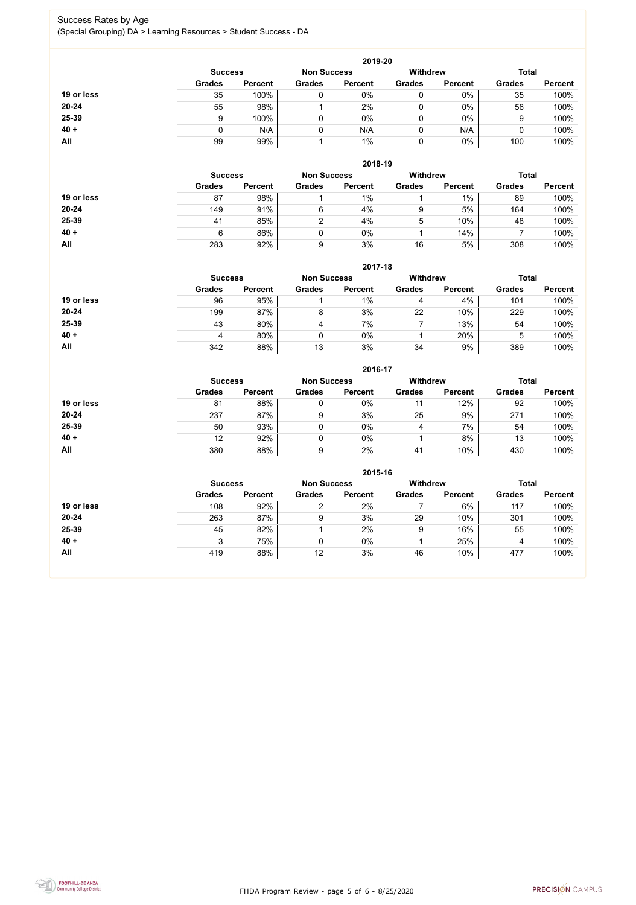FHDA Program Review - page 5 of 6 - 8/25/2020



## Success Rates by Age (Special Grouping) DA > Learning Resources > Student Success - DA

|            |                |                    |               | 2019-20         |               |                |               |                |
|------------|----------------|--------------------|---------------|-----------------|---------------|----------------|---------------|----------------|
|            | <b>Success</b> | <b>Non Success</b> |               | <b>Withdrew</b> |               | <b>Total</b>   |               |                |
|            | <b>Grades</b>  | <b>Percent</b>     | <b>Grades</b> | <b>Percent</b>  | <b>Grades</b> | <b>Percent</b> | <b>Grades</b> | <b>Percent</b> |
| 19 or less | 35             | 100%               |               | 0%              | 0             | $0\%$          | 35            | 100%           |
| $20 - 24$  | 55             | 98%                |               | 2%              | 0             | $0\%$          | 56            | 100%           |
| 25-39      | 9              | 100%               |               | $0\%$           | 0             | 0%             | 9             | 100%           |
| $40 +$     |                | N/A                |               | N/A             | 0             | N/A            |               | 100%           |
| All        | 99             | 99%                |               | 1%              | 0             | 0%             | 100           | 100%           |

|            |                |                    |               | 2018-19         |               |                |               |                |
|------------|----------------|--------------------|---------------|-----------------|---------------|----------------|---------------|----------------|
|            | <b>Success</b> | <b>Non Success</b> |               | <b>Withdrew</b> |               | <b>Total</b>   |               |                |
|            | <b>Grades</b>  | <b>Percent</b>     | <b>Grades</b> | <b>Percent</b>  | <b>Grades</b> | <b>Percent</b> | <b>Grades</b> | <b>Percent</b> |
| 19 or less | 87             | 98%                |               | $1\%$           |               | $1\%$          | 89            | 100%           |
| $20 - 24$  | 149            | 91%                | 6             | 4%              | 9             | 5%             | 164           | 100%           |
| 25-39      | 41             | 85%                | ⌒             | 4%              | 5             | 10%            | 48            | 100%           |
| $40 +$     | 6              | 86%                |               | $0\%$           |               | 14%            |               | 100%           |
| All        | 283            | 92%                | 9             | 3%              | 16            | 5%             | 308           | 100%           |

#### **2017-18**

|            |                |                |                    | ZU17-18        |                 |                |               |                |  |  |  |
|------------|----------------|----------------|--------------------|----------------|-----------------|----------------|---------------|----------------|--|--|--|
|            | <b>Success</b> |                | <b>Non Success</b> |                | <b>Withdrew</b> |                | <b>Total</b>  |                |  |  |  |
|            | <b>Grades</b>  | <b>Percent</b> | <b>Grades</b>      | <b>Percent</b> | <b>Grades</b>   | <b>Percent</b> | <b>Grades</b> | <b>Percent</b> |  |  |  |
| 19 or less | 96             | 95%            |                    | $1\%$          |                 | 4%             | 101           | 100%           |  |  |  |
| $20 - 24$  | 199            | 87%            | 8                  | 3%             | 22              | 10%            | 229           | 100%           |  |  |  |
| 25-39      | 43             | 80%            | 4                  | 7%             |                 | 13%            | 54            | 100%           |  |  |  |
| $40 +$     | 4              | 80%            |                    | 0%             |                 | 20%            | ა             | 100%           |  |  |  |
| All        | 342            | 88%            | 13                 | 3%             | 34              | 9%             | 389           | 100%           |  |  |  |

## **2016-17**

|            |                |                    |               | <b>ZU16-17</b>  |               |                |               |                |
|------------|----------------|--------------------|---------------|-----------------|---------------|----------------|---------------|----------------|
|            | <b>Success</b> | <b>Non Success</b> |               | <b>Withdrew</b> |               | <b>Total</b>   |               |                |
|            | <b>Grades</b>  | <b>Percent</b>     | <b>Grades</b> | <b>Percent</b>  | <b>Grades</b> | <b>Percent</b> | <b>Grades</b> | <b>Percent</b> |
| 19 or less | 81             | 88%                |               | $0\%$           |               | 12%            | 92            | 100%           |
| $20 - 24$  | 237            | 87%                | 9             | 3%              | 25            | 9%             | 271           | 100%           |
| 25-39      | 50             | 93%                |               | $0\%$           | 4             | 7%             | 54            | 100%           |
| $40 +$     | 12             | 92%                |               | $0\%$           |               | 8%             | 13            | 100%           |
| All        | 380            | 88%                | 9             | 2%              | 41            | 10%            | 430           | 100%           |

## **2015-16**



|            |                |                |                    | 2015-16        |                 |                |               |                |
|------------|----------------|----------------|--------------------|----------------|-----------------|----------------|---------------|----------------|
|            | <b>Success</b> |                | <b>Non Success</b> |                | <b>Withdrew</b> |                | <b>Total</b>  |                |
|            | <b>Grades</b>  | <b>Percent</b> | <b>Grades</b>      | <b>Percent</b> | <b>Grades</b>   | <b>Percent</b> | <b>Grades</b> | <b>Percent</b> |
| 19 or less | 108            | 92%            | ⌒                  | 2%             |                 | 6%             | 117           | 100%           |
| $20 - 24$  | 263            | 87%            | 9                  | 3%             | 29              | 10%            | 301           | 100%           |
| 25-39      | 45             | 82%            |                    | 2%             | 9               | 16%            | 55            | 100%           |
| $40 +$     | 3              | 75%            |                    | $0\%$          |                 | 25%            | 4             | 100%           |
| All        | 419            | 88%            | 12                 | 3%             | 46              | 10%            | 477           | 100%           |